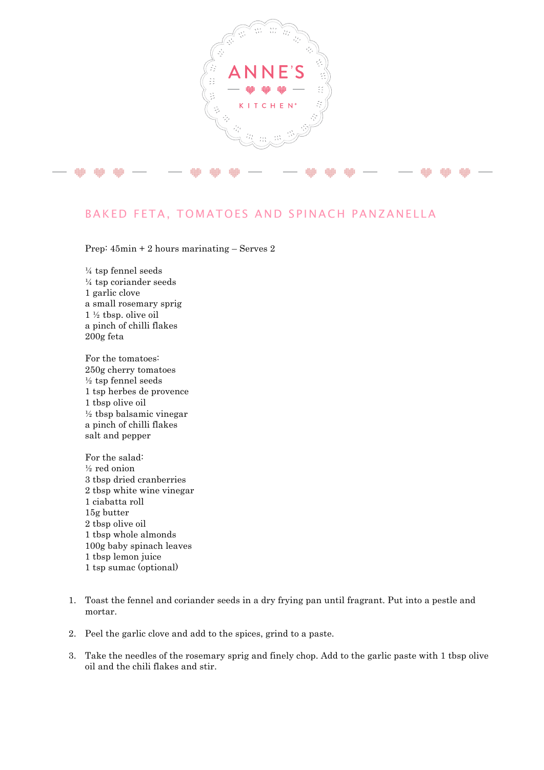

## BAKED FETA, TOMATOES AND SPINACH PANZANELLA

Prep: 45min + 2 hours marinating – Serves 2

¼ tsp fennel seeds ¼ tsp coriander seeds 1 garlic clove a small rosemary sprig 1 ½ tbsp. olive oil a pinch of chilli flakes 200g feta

For the tomatoes: 250g cherry tomatoes ½ tsp fennel seeds 1 tsp herbes de provence 1 tbsp olive oil ½ tbsp balsamic vinegar a pinch of chilli flakes salt and pepper

For the salad: ½ red onion 3 tbsp dried cranberries 2 tbsp white wine vinegar 1 ciabatta roll 15g butter 2 tbsp olive oil 1 tbsp whole almonds 100g baby spinach leaves 1 tbsp lemon juice 1 tsp sumac (optional)

- 1. Toast the fennel and coriander seeds in a dry frying pan until fragrant. Put into a pestle and mortar.
- 2. Peel the garlic clove and add to the spices, grind to a paste.
- 3. Take the needles of the rosemary sprig and finely chop. Add to the garlic paste with 1 tbsp olive oil and the chili flakes and stir.